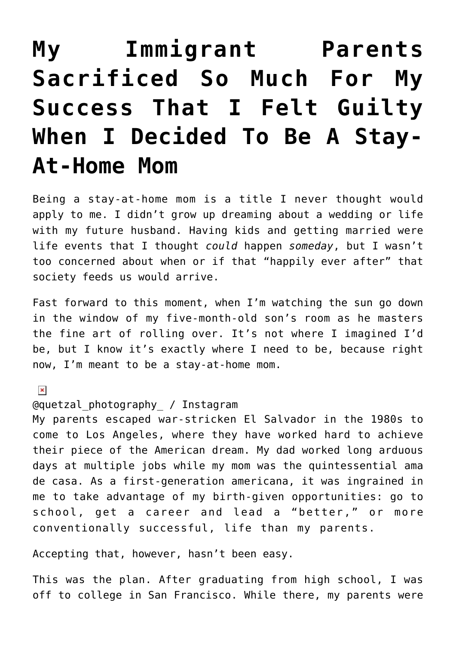# **[My Immigrant Parents](https://danielbrooksmoore.com/nowsthetime/2019/04/10/my-immigrant-parents-sacrificed-so-much-for-my-success-that-i-felt-guilty-when-i-decided-to-be-a-stay-at-home-mom/) [Sacrificed So Much For My](https://danielbrooksmoore.com/nowsthetime/2019/04/10/my-immigrant-parents-sacrificed-so-much-for-my-success-that-i-felt-guilty-when-i-decided-to-be-a-stay-at-home-mom/) [Success That I Felt Guilty](https://danielbrooksmoore.com/nowsthetime/2019/04/10/my-immigrant-parents-sacrificed-so-much-for-my-success-that-i-felt-guilty-when-i-decided-to-be-a-stay-at-home-mom/) [When I Decided To Be A Stay-](https://danielbrooksmoore.com/nowsthetime/2019/04/10/my-immigrant-parents-sacrificed-so-much-for-my-success-that-i-felt-guilty-when-i-decided-to-be-a-stay-at-home-mom/)[At-Home Mom](https://danielbrooksmoore.com/nowsthetime/2019/04/10/my-immigrant-parents-sacrificed-so-much-for-my-success-that-i-felt-guilty-when-i-decided-to-be-a-stay-at-home-mom/)**

Being a stay-at-home mom is a title I never thought would apply to me. I didn't grow up dreaming about a wedding or life with my future husband. Having kids and getting married were life events that I thought *could* happen *someday*, but I wasn't too concerned about when or if that "happily ever after" that society feeds us would arrive.

Fast forward to this moment, when I'm watching the sun go down in the window of my five-month-old son's room as he masters the fine art of rolling over. It's not where I imagined I'd be, but I know it's exactly where I need to be, because right now, I'm meant to be a stay-at-home mom.

## $\pmb{\times}$

@quetzal\_photography\_ / Instagram

My parents escaped war-stricken El Salvador in the 1980s to come to Los Angeles, where they have worked hard to achieve their piece of the American dream. My dad worked long arduous days at multiple jobs while my mom was the quintessential ama de casa. As a first-generation americana, it was ingrained in me to take advantage of my birth-given opportunities: go to school, get a career and lead a "better," or more conventionally successful, life than my parents.

Accepting that, however, hasn't been easy.

This was the plan. After graduating from high school, I was off to college in San Francisco. While there, my parents were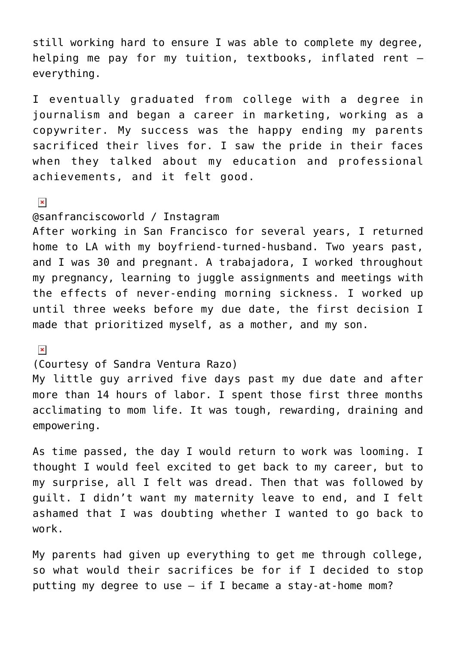still working hard to ensure I was able to complete my degree, helping me pay for my tuition, textbooks, inflated rent everything.

I eventually graduated from college with a degree in journalism and began a career in marketing, working as a copywriter. My success was the happy ending my parents sacrificed their lives for. I saw the pride in their faces when they talked about my education and professional achievements, and it felt good.

 $\pmb{\times}$ 

#### @sanfranciscoworld / Instagram

After working in San Francisco for several years, I returned home to LA with my boyfriend-turned-husband. Two years past, and I was 30 and pregnant. A trabajadora, I worked throughout my pregnancy, learning to juggle assignments and meetings with the effects of never-ending morning sickness. I worked up until three weeks before my due date, the first decision I made that prioritized myself, as a mother, and my son.

 $\pmb{\times}$ 

### (Courtesy of Sandra Ventura Razo)

My little guy arrived five days past my due date and after more than 14 hours of labor. I spent those first three months acclimating to mom life. It was tough, rewarding, draining and empowering.

As time passed, the day I would return to work was looming. I thought I would feel excited to get back to my career, but to my surprise, all I felt was dread. Then that was followed by guilt. I didn't want my maternity leave to end, and I felt ashamed that I was doubting whether I wanted to go back to work.

My parents had given up everything to get me through college, so what would their sacrifices be for if I decided to stop putting my degree to use  $-$  if I became a stay-at-home mom?